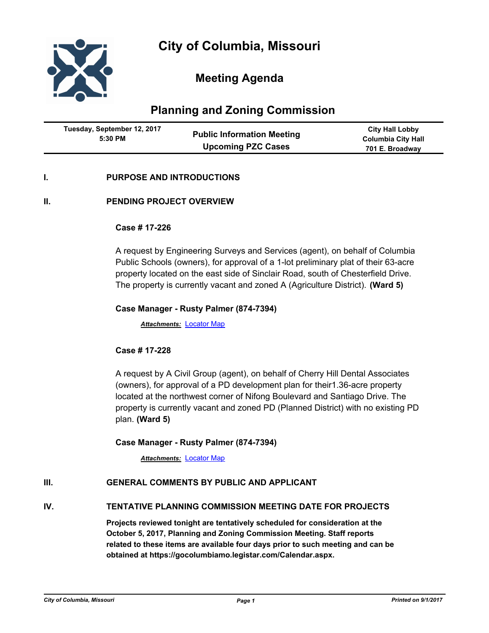

# **Meeting Agenda**

## **Planning and Zoning Commission**

| Tuesday, September 12, 2017 |                                   | <b>City Hall Lobby</b>    |
|-----------------------------|-----------------------------------|---------------------------|
| 5:30 PM                     | <b>Public Information Meeting</b> | <b>Columbia City Hall</b> |
|                             | <b>Upcoming PZC Cases</b>         | 701 E. Broadway           |

#### **I. PURPOSE AND INTRODUCTIONS**

#### **II. PENDING PROJECT OVERVIEW**

#### **Case # 17-226**

A request by Engineering Surveys and Services (agent), on behalf of Columbia Public Schools (owners), for approval of a 1-lot preliminary plat of their 63-acre property located on the east side of Sinclair Road, south of Chesterfield Drive. The property is currently vacant and zoned A (Agriculture District). **(Ward 5)**

#### **Case Manager - Rusty Palmer (874-7394)**

*Attachments:* [Locator Map](http://gocolumbiamo.legistar.com/gateway.aspx?M=F&ID=c0ce3ab3-cd41-4719-8de3-32de179eac29.pdf)

#### **Case # 17-228**

A request by A Civil Group (agent), on behalf of Cherry Hill Dental Associates (owners), for approval of a PD development plan for their1.36-acre property located at the northwest corner of Nifong Boulevard and Santiago Drive. The property is currently vacant and zoned PD (Planned District) with no existing PD plan. **(Ward 5)**

#### **Case Manager - Rusty Palmer (874-7394)**

*Attachments:* [Locator Map](http://gocolumbiamo.legistar.com/gateway.aspx?M=F&ID=a37864fc-9a39-4673-b503-cadf22db1e71.pdf)

#### **III. GENERAL COMMENTS BY PUBLIC AND APPLICANT**

#### **IV. TENTATIVE PLANNING COMMISSION MEETING DATE FOR PROJECTS**

**Projects reviewed tonight are tentatively scheduled for consideration at the October 5, 2017, Planning and Zoning Commission Meeting. Staff reports related to these items are available four days prior to such meeting and can be obtained at https://gocolumbiamo.legistar.com/Calendar.aspx.**